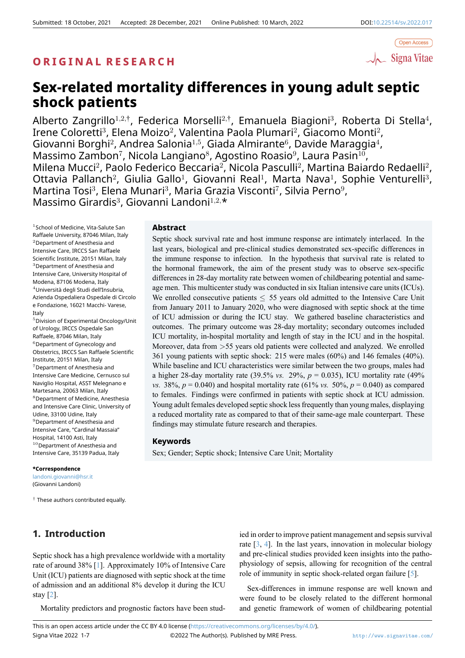

# **Sex-related mortality differences in young adult septic shock patients**

Alberto Zangrillo<sup>1,2,†</sup>, Federica Morselli<sup>2,†</sup>, Emanuela Biagioni<sup>3</sup>, Roberta Di Stella<sup>4</sup>, Irene Coloretti $^3$ , Elena Moizo $^2$ , Valentina Paola Plumari $^2$ , Giacomo Monti $^2$ , Giovanni Borghi<sup>2</sup>, Andrea Salonia<sup>1,5</sup>, Giada Almirante<sup>6</sup>, Davide Maraggia<sup>4</sup>, Massimo Zambon<sup>7</sup>, Nicola Langiano<sup>8</sup>, Agostino Roasio $9$ , Laura Pasin $^{10}$ , Milena Mucci<sup>2</sup>, Paolo Federico Beccaria<sup>2</sup>, Nicola Pasculli<sup>2</sup>, Martina Baiardo Redaelli<sup>2</sup>, Ottavia Pallanch<sup>2</sup>, Giulia Gallo<sup>1</sup>, Giovanni Real<sup>1</sup>, Marta Nava<sup>1</sup>, Sophie Venturelli<sup>3</sup>, Martina Tosi $^3$ , Elena Munari $^3$ , Maria Grazia Visconti $^7$ , Silvia Perno $^9$ , Massimo Girardis<sup>3</sup> , Giovanni Landoni<sup>1</sup>*,*2*,*\*

1 School of Medicine, Vita-Salute San Raffaele University, 87046 Milan, Italy <sup>2</sup>Department of Anesthesia and Intensive Care, IRCCS San Raffaele Scientific Institute, 20151 Milan, Italy <sup>3</sup>Department of Anesthesia and Intensive Care, University Hospital of Modena, 87106 Modena, Italy  $^4$ Università degli Studi dell'Insubria, Azienda Ospedaliera Ospedale di Circolo e Fondazione, 16021 Macchi- Varese, Italy

<sup>5</sup>Division of Experimental Oncology/Unit of Urology, IRCCS Ospedale San Raffaele, 87046 Milan, Italy <sup>6</sup>Department of Gynecology and Obstetrics, IRCCS San Raffaele Scientific Institute, 20151 Milan, Italy <sup>7</sup>Department of Anesthesia and Intensive Care Medicine, Cernusco sul Naviglio Hospital, ASST Melegnano e Martesana, 20063 Milan, Italy <sup>8</sup>Department of Medicine, Anesthesia and Intensive Care Clinic, University of Udine, 33100 Udine, Italy <sup>9</sup>Department of Anesthesia and Intensive Care, "Cardinal Massaia" Hospital, 14100 Asti, Italy  $10$ Department of Anesthesia and Intensive Care, 35139 Padua, Italy

#### **\*Correspondence**

landoni.giovanni@hsr.it (Giovanni Landoni)

*†* These authors contributed equally.

## **1. Introduction**

## Septic shock has a high prevalence worldwide with a mortality rate of around 38% [1]. Approximately 10% of Intensive Care Unit (ICU) patients are diagnosed with septic shock at the time of admission and an additional 8% develop it during the ICU stay [2].

Mortality predict[or](#page-5-0)s and prognostic factors have been stud-

## **Abstract**

Septic shock survival rate and host immune response are intimately interlaced. In the last years, biological and pre-clinical studies demonstrated sex-specific differences in the immune response to infection. In the hypothesis that survival rate is related to the hormonal framework, the aim of the present study was to observe sex-specific differences in 28-day mortality rate between women of childbearing potential and sameage men. This multicenter study was conducted in six Italian intensive care units (ICUs). We enrolled consecutive patients  $\leq 55$  years old admitted to the Intensive Care Unit from January 2011 to January 2020, who were diagnosed with septic shock at the time of ICU admission or during the ICU stay. We gathered baseline characteristics and outcomes. The primary outcome was 28-day mortality; secondary outcomes included ICU mortality, in-hospital mortality and length of stay in the ICU and in the hospital. Moreover, data from *>*55 years old patients were collected and analyzed. We enrolled 361 young patients with septic shock: 215 were males (60%) and 146 females (40%). While baseline and ICU characteristics were similar between the two groups, males had a higher 28-day mortality rate  $(39.5\% \text{ vs. } 29\%, p = 0.035)$ , ICU mortality rate  $(49\%$ *vs.* 38%,  $p = 0.040$  and hospital mortality rate (61% *vs.* 50%,  $p = 0.040$ ) as compared to females. Findings were confirmed in patients with septic shock at ICU admission. Young adult females developed septic shock less frequently than young males, displaying a reduced mortality rate as compared to that of their same-age male counterpart. These findings may stimulate future research and therapies.

## **Keywords**

Sex; Gender; Septic shock; Intensive Care Unit; Mortality

ied in order to improve patient management and sepsis survival rate [3, 4]. In the last years, innovation in molecular biology and pre-clinical studies provided keen insights into the pathophysiology of sepsis, allowing for recognition of the central role of immunity in septic shock-related organ failure [5].

Se[x-](#page-5-2)[dif](#page-5-3)ferences in immune response are well known and were found to be closely related to the different hormonal and genetic framework of women of childbearing p[ot](#page-5-4)ential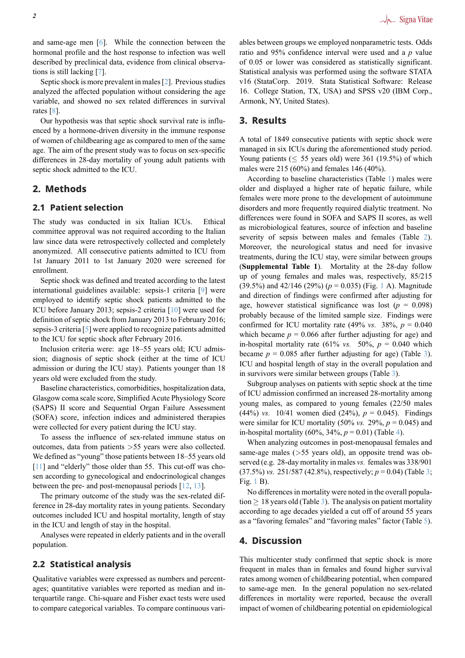and same-age men [6]. While the connection between the hormonal profile and the host response to infection was well described by preclinical data, evidence from clinical observations is still lacking [7].

Septic shock is mo[re](#page-5-5) prevalent in males [2]. Previous studies analyzed the affected population without considering the age variable, and showed no sex related differences in survival rates [8].

Our hypothesis was that septic shock s[ur](#page-5-1)vival rate is influenced by a hormone-driven diversity in the immune response of women of childbearing age as compared to men of the same age. [Th](#page-5-6)e aim of the present study was to focus on sex-specific differences in 28-day mortality of young adult patients with septic shock admitted to the ICU.

## **2. Methods**

## **2.1 Patient selection**

The study was conducted in six Italian ICUs. Ethical committee approval was not required according to the Italian law since data were retrospectively collected and completely anonymized. All consecutive patients admitted to ICU from 1st January 2011 to 1st January 2020 were screened for enrollment.

Septic shock was defined and treated according to the latest international guidelines available: sepsis-1 criteria [9] were employed to identify septic shock patients admitted to the ICU before January 2013; sepsis-2 criteria [10] were used for definition of septic shock from January 2013 to February 2016; sepsis-3 criteria [5] were applied to recognize patients [ad](#page-5-7)mitted to the ICU for septic shock after February 2016.

Inclusion criteria were: age 18–55 year[s ol](#page-5-8)d; ICU admission; diagnosis of septic shock (either at the time of ICU admission or du[rin](#page-5-4)g the ICU stay). Patients younger than 18 years old were excluded from the study.

Baseline characteristics, comorbidities, hospitalization data, Glasgow coma scale score, Simplified Acute Physiology Score (SAPS) II score and Sequential Organ Failure Assessment (SOFA) score, infection indices and administered therapies were collected for every patient during the ICU stay.

To assess the influence of sex-related immune status on outcomes, data from patients *>*55 years were also collected. We defined as "young" those patients between 18–55 years old [11] and "elderly" those older than 55. This cut-off was chosen according to gynecological and endocrinological changes between the pre- and post-menopausal periods [12, 13].

The primary outcome of the study was the sex-related dif[fere](#page-5-9)nce in 28-day mortality rates in young patients. Secondary outcomes included ICU and hospital mortality, length of stay in the ICU and length of stay in the hospital.

Analyses were repeated in elderly patients and in the overall population.

## **2.2 Statistical analysis**

Qualitative variables were expressed as numbers and percentages; quantitative variables were reported as median and interquartile range. Chi-square and Fisher exact tests were used to compare categorical variables. To compare continuous variables between groups we employed nonparametric tests. Odds ratio and 95% confidence interval were used and a *p* value of 0.05 or lower was considered as statistically significant. Statistical analysis was performed using the software STATA v16 (StataCorp. 2019. Stata Statistical Software: Release 16. College Station, TX, USA) and SPSS v20 (IBM Corp., Armonk, NY, United States).

## **3. Results**

A total of 1849 consecutive patients with septic shock were managed in six ICUs during the aforementioned study period. Young patients ( $\leq$  55 years old) were 361 (19.5%) of which males were 215 (60%) and females 146 (40%).

According to baseline characteristics (Table 1) males were older and displayed a higher rate of hepatic failure, while females were more prone to the development of autoimmune disorders and more frequently required dialytic treatment. No differences were found in SOFA and SAPS II [sc](#page-2-0)ores, as well as microbiological features, source of infection and baseline severity of sepsis between males and females (Table 2). Moreover, the neurological status and need for invasive treatments, during the ICU stay, were similar between groups (**Supplemental Table 1**). Mortality at the 28-day follow up of young females and males was, respectively, 85/[21](#page-3-0)5 (39.5%) and 42/146 (29%) (*p* = 0.035) (Fig. 1 A). Magnitude and direction of findings were confirmed after adjusting for age, however statistical significance was lost  $(p = 0.098)$ probably because of the limited sample size. Findings were confirmed for ICU mortality rate  $(49\% \text{ vs. } 38\%, p = 0.040)$  $(49\% \text{ vs. } 38\%, p = 0.040)$  $(49\% \text{ vs. } 38\%, p = 0.040)$ which became  $p = 0.066$  after further adjusting for age) and in-hospital mortality rate (61% *vs.* 50%,  $p = 0.040$  which became  $p = 0.085$  after further adjusting for age) (Table 3). ICU and hospital length of stay in the overall population and in survivors were similar between groups (Table 3).

Subgroup analyses on patients with septic shock at the time of ICU admission confirmed an increased 28-mortality am[on](#page-3-1)g young males, as compared to young females (22/50 males (44%) *vs.* 10/41 women died (24%), *p* = 0.04[5\)](#page-3-1). Findings were similar for ICU mortality (50% *vs.* 29%,  $p = 0.045$ ) and in-hospital mortality  $(60\%, 34\%, p = 0.01)$  (Table 4).

When analyzing outcomes in post-menopausal females and same-age males (*>*55 years old), an opposite trend was observed (e.g. 28-day mortality in males *vs.* females was 338/901 (37.5%) *vs.* 251/587 (42.8%), respectively; *p* = 0.[04](#page-4-0)) (Table 3; Fig. 1 B).

No differences in mortality were noted in the overall population *≥* 18 years old (Table 3). The analysis on patient mortality according to age decades yielded a cut off of around 55 ye[ars](#page-3-1) as a ["f](#page-2-1)avoring females" and "favoring males" factor (Table 5).

## **4. Discussion**

This multicenter study confirmed that septic shock is m[or](#page-4-1)e frequent in males than in females and found higher survival rates among women of childbearing potential, when compared to same-age men. In the general population no sex-related differences in mortality were reported, because the overall impact of women of childbearing potential on epidemiological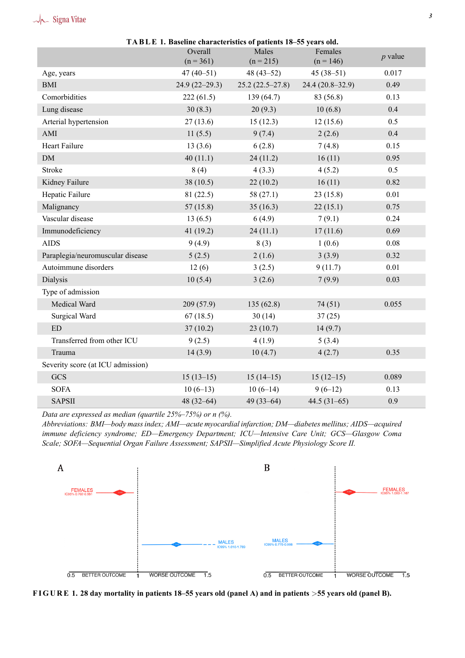## h Signa Vitae

<span id="page-2-0"></span>

| TABLE 1. Baseline characteristics of patients 18–55 years old. |                 |                   |                  |           |  |
|----------------------------------------------------------------|-----------------|-------------------|------------------|-----------|--|
|                                                                | Overall         | Males             | Females          | $p$ value |  |
|                                                                | $(n = 361)$     | $(n = 215)$       | $(n = 146)$      |           |  |
| Age, years                                                     | $47(40-51)$     | $48(43-52)$       | $45(38-51)$      | 0.017     |  |
| <b>BMI</b>                                                     | $24.9(22-29.3)$ | $25.2(22.5-27.8)$ | 24.4 (20.8–32.9) | 0.49      |  |
| Comorbidities                                                  | 222(61.5)       | 139 (64.7)        | 83 (56.8)        | 0.13      |  |
| Lung disease                                                   | 30(8.3)         | 20(9.3)           | 10(6.8)          | 0.4       |  |
| Arterial hypertension                                          | 27(13.6)        | 15(12.3)          | 12(15.6)         | 0.5       |  |
| AMI                                                            | 11(5.5)         | 9(7.4)            | 2(2.6)           | 0.4       |  |
| Heart Failure                                                  | 13(3.6)         | 6(2.8)            | 7(4.8)           | 0.15      |  |
| $DM$                                                           | 40(11.1)        | 24(11.2)          | 16(11)           | 0.95      |  |
| Stroke                                                         | 8(4)            | 4(3.3)            | 4(5.2)           | 0.5       |  |
| Kidney Failure                                                 | 38(10.5)        | 22(10.2)          | 16(11)           | 0.82      |  |
| Hepatic Failure                                                | 81 (22.5)       | 58 (27.1)         | 23(15.8)         | 0.01      |  |
| Malignancy                                                     | 57(15.8)        | 35(16.3)          | 22(15.1)         | 0.75      |  |
| Vascular disease                                               | 13(6.5)         | 6(4.9)            | 7(9.1)           | 0.24      |  |
| Immunodeficiency                                               | 41 (19.2)       | 24(11.1)          | 17(11.6)         | 0.69      |  |
| <b>AIDS</b>                                                    | 9(4.9)          | 8(3)              | 1(0.6)           | $0.08\,$  |  |
| Paraplegia/neuromuscular disease                               | 5(2.5)          | 2(1.6)            | 3(3.9)           | 0.32      |  |
| Autoimmune disorders                                           | 12(6)           | 3(2.5)            | 9(11.7)          | 0.01      |  |
| Dialysis                                                       | 10(5.4)         | 3(2.6)            | 7(9.9)           | 0.03      |  |
| Type of admission                                              |                 |                   |                  |           |  |
| Medical Ward                                                   | 209 (57.9)      | 135 (62.8)        | 74(51)           | 0.055     |  |
| Surgical Ward                                                  | 67(18.5)        | 30(14)            | 37(25)           |           |  |
| ED                                                             | 37(10.2)        | 23(10.7)          | 14(9.7)          |           |  |
| Transferred from other ICU                                     | 9(2.5)          | 4(1.9)            | 5(3.4)           |           |  |
| Trauma                                                         | 14(3.9)         | 10(4.7)           | 4(2.7)           | 0.35      |  |
| Severity score (at ICU admission)                              |                 |                   |                  |           |  |
| <b>GCS</b>                                                     | $15(13-15)$     | $15(14-15)$       | $15(12-15)$      | 0.089     |  |
| <b>SOFA</b>                                                    | $10(6-13)$      | $10(6-14)$        | $9(6-12)$        | 0.13      |  |
| <b>SAPSII</b>                                                  | 48 $(32-64)$    | $49(33-64)$       | 44.5 $(31-65)$   | 0.9       |  |

*Data are expressed as median (quartile 25%–75%) or n (%).*

*Abbreviations: BMI—body mass index; AMI—acute myocardial infarction; DM—diabetes mellitus; AIDS—acquired immune deficiency syndrome; ED—Emergency Department; ICU—Intensive Care Unit; GCS—Glasgow Coma Scale; SOFA—Sequential Organ Failure Assessment; SAPSII—Simplified Acute Physiology Score II.*

<span id="page-2-1"></span>

**F I G U R E 1. 28 day mortality in patients 18–55 years old (panel A) and in patients** *>***55 years old (panel B).**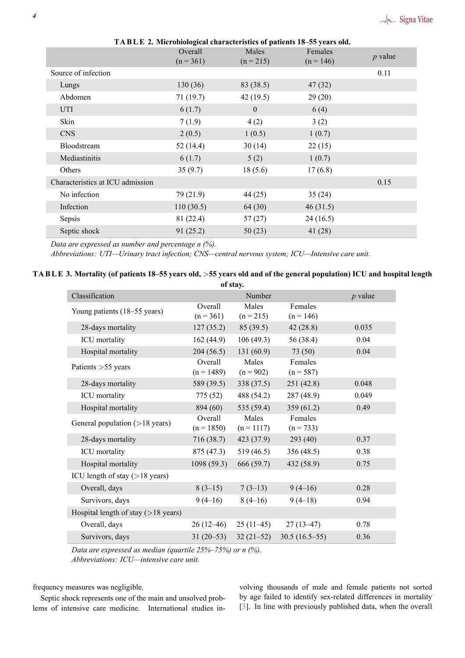<span id="page-3-0"></span>

| <b>IABLE 2. MICRODIOLOGICAL CHARACTERIES OF DATIERS 18-55 YEARS OIG.</b> |                        |                      |                        |           |  |
|--------------------------------------------------------------------------|------------------------|----------------------|------------------------|-----------|--|
|                                                                          | Overall<br>$(n = 361)$ | Males<br>$(n = 215)$ | Females<br>$(n = 146)$ | $p$ value |  |
|                                                                          |                        |                      |                        |           |  |
| Source of infection                                                      |                        |                      |                        | 0.11      |  |
| Lungs                                                                    | 130(36)                | 83 (38.5)            | 47(32)                 |           |  |
| Abdomen                                                                  | 71 (19.7)              | 42(19.5)             | 29(20)                 |           |  |
| <b>UTI</b>                                                               | 6(1.7)                 | $\overline{0}$       | 6(4)                   |           |  |
| Skin                                                                     | 7(1.9)                 | 4(2)                 | 3(2)                   |           |  |
| <b>CNS</b>                                                               | 2(0.5)                 | 1(0.5)               | 1(0.7)                 |           |  |
| Bloodstream                                                              | 52 (14.4)              | 30(14)               | 22(15)                 |           |  |
| Mediastinitis                                                            | 6(1.7)                 | 5(2)                 | 1(0.7)                 |           |  |
| Others                                                                   | 35(9.7)                | 18(5.6)              | 17(6.8)                |           |  |
| Characteristics at ICU admission                                         |                        |                      |                        | 0.15      |  |
| No infection                                                             | 79 (21.9)              | 44(25)               | 35(24)                 |           |  |
| Infection                                                                | 110(30.5)              | 64 (30)              | 46(31.5)               |           |  |
| Sepsis                                                                   | 81 (22.4)              | 57(27)               | 24(16.5)               |           |  |
| Septic shock                                                             | 91 (25.2)              | 50(23)               | 41(28)                 |           |  |

**TA B L E 2. Microbiological characteristics of patients 18–55 years old.**

*Data are expressed as number and percentage n (%).*

*Abbreviations: UTI—Urinary tract infection; CNS—central nervous system; ICU—Intensive care unit.*

#### <span id="page-3-1"></span>**TA B L E 3. Mortality (of patients 18–55 years old,** *>***55 years old and of the general population) ICU and hospital length of stay.**

| OI Stay.                                |                         |                       |                        |           |  |
|-----------------------------------------|-------------------------|-----------------------|------------------------|-----------|--|
| Classification                          |                         | Number                |                        | $p$ value |  |
| Young patients (18–55 years)            | Overall<br>$(n = 361)$  | Males<br>$(n = 215)$  | Females<br>$(n = 146)$ |           |  |
| 28-days mortality                       | 127(35.2)               | 85(39.5)              | 42(28.8)               | 0.035     |  |
| ICU mortality                           | 162(44.9)               | 106(49.3)             | 56 (38.4)              | 0.04      |  |
| Hospital mortality                      | 204(56.5)               | 131(60.9)             | 73(50)                 | 0.04      |  |
| Patients $>55$ years                    | Overall<br>$(n = 1489)$ | Males<br>$(n = 902)$  | Females<br>$(n = 587)$ |           |  |
| 28-days mortality                       | 589 (39.5)              | 338(37.5)             | 251 (42.8)             | 0.048     |  |
| ICU mortality                           | 775 (52)                | 488 (54.2)            | 287 (48.9)             | 0.049     |  |
| Hospital mortality                      | 894 (60)                | 535 $(59.4)$          | 359(61.2)              | 0.49      |  |
| General population $($ >18 years)       | Overall<br>$(n = 1850)$ | Males<br>$(n = 1117)$ | Females<br>$(n = 733)$ |           |  |
| 28-days mortality                       | 716 (38.7)              | 423 (37.9)            | 293 (40)               | 0.37      |  |
| ICU mortality                           | 875 (47.3)              | 519 (46.5)            | 356 (48.5)             | 0.38      |  |
| Hospital mortality                      | 1098(59.3)              | 666 (59.7)            | 432 (58.9)             | 0.75      |  |
| ICU length of stay $( > 18$ years)      |                         |                       |                        |           |  |
| Overall, days                           | $8(3-15)$               | $7(3-13)$             | $9(4-16)$              | 0.28      |  |
| Survivors, days                         | $9(4-16)$               | $8(4-16)$             | $9(4-18)$              | 0.94      |  |
| Hospital length of stay $($ > 18 years) |                         |                       |                        |           |  |
| Overall, days                           | $26(12-46)$             | $25(11-45)$           | $27(13-47)$            | 0.78      |  |
| Survivors, days                         | $31(20-53)$             | $32(21-52)$           | $30.5(16.5-55)$        | 0.36      |  |

*Data are expressed as median (quartile 25%–75%) or n (%).*

*Abbreviations: ICU—intensive care unit.*

frequency measures was negligible.

Septic shock represents one of the main and unsolved problems of intensive care medicine. International studies involving thousands of male and female patients not sorted by age failed to identify sex-related differences in mortality [3]. In line with previously published data, when the overall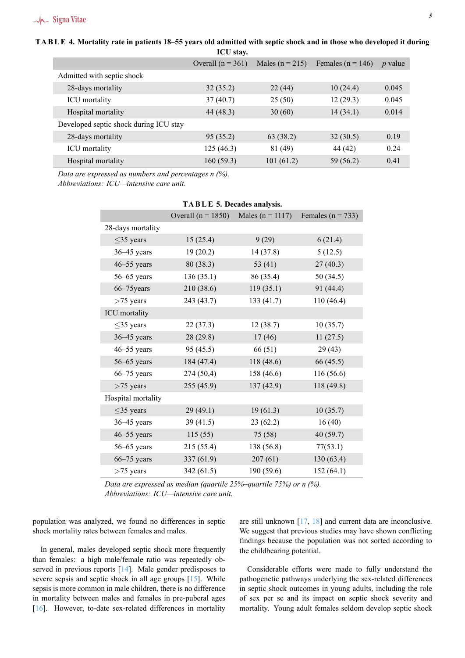## **TABLE 4. Mortality rate in patients 18–55 years old admitted with septic shock and in those who developed it during**

<span id="page-4-0"></span>

| ICU stay.                              |                     |                     |                       |           |
|----------------------------------------|---------------------|---------------------|-----------------------|-----------|
|                                        | Overall $(n = 361)$ | Males ( $n = 215$ ) | Females ( $n = 146$ ) | $p$ value |
| Admitted with septic shock             |                     |                     |                       |           |
| 28-days mortality                      | 32(35.2)            | 22(44)              | 10(24.4)              | 0.045     |
| <b>ICU</b> mortality                   | 37(40.7)            | 25(50)              | 12(29.3)              | 0.045     |
| Hospital mortality                     | 44 (48.3)           | 30(60)              | 14(34.1)              | 0.014     |
| Developed septic shock during ICU stay |                     |                     |                       |           |
| 28-days mortality                      | 95 (35.2)           | 63 (38.2)           | 32(30.5)              | 0.19      |
| <b>ICU</b> mortality                   | 125(46.3)           | 81 (49)             | 44 (42)               | 0.24      |
| Hospital mortality                     | 160(59.3)           | 101(61.2)           | 59 (56.2)             | 0.41      |

*Data are expressed as numbers and percentages n (%).*

<span id="page-4-1"></span>*Abbreviations: ICU—intensive care unit.*

|                    | Overall ( $n = 1850$ ) | Males ( $n = 1117$ ) | Females ( $n = 733$ ) |
|--------------------|------------------------|----------------------|-----------------------|
| 28-days mortality  |                        |                      |                       |
| $\leq$ 35 years    | 15(25.4)               | 9(29)                | 6(21.4)               |
| $36-45$ years      | 19(20.2)               | 14 (37.8)            | 5(12.5)               |
| $46 - 55$ years    | 80(38.3)               | 53 $(41)$            | 27(40.3)              |
| $56 - 65$ years    | 136(35.1)              | 86 (35.4)            | 50(34.5)              |
| 66-75 years        | 210 (38.6)             | 119(35.1)            | 91 (44.4)             |
| $>75$ years        | 243 (43.7)             | 133(41.7)            | 110(46.4)             |
| ICU mortality      |                        |                      |                       |
| $\leq$ 35 years    | 22(37.3)               | 12(38.7)             | 10(35.7)              |
| $36-45$ years      | 28(29.8)               | 17(46)               | 11(27.5)              |
| $46 - 55$ years    | 95(45.5)               | 66 (51)              | 29(43)                |
| $56 - 65$ years    | 184 (47.4)             | 118(48.6)            | 66 (45.5)             |
| $66 - 75$ years    | 274 (50,4)             | 158 (46.6)           | 116 (56.6)            |
| $>75$ years        | 255(45.9)              | 137(42.9)            | 118 (49.8)            |
| Hospital mortality |                        |                      |                       |
| $\leq$ 35 years    | 29(49.1)               | 19(61.3)             | 10(35.7)              |
| $36-45$ years      | 39(41.5)               | 23(62.2)             | 16(40)                |
| $46 - 55$ years    | 115(55)                | 75(58)               | 40(59.7)              |
| $56 - 65$ years    | 215 (55.4)             | 138 (56.8)           | 77(53.1)              |
| $66-75$ years      | 337 (61.9)             | 207(61)              | 130(63.4)             |
| $>75$ years        | 342 (61.5)             | 190 (59.6)           | 152 (64.1)            |

#### **TA B L E 5. Decades analysis.**

*Data are expressed as median (quartile 25%–quartile 75%) or n (%). Abbreviations: ICU—intensive care unit.*

population was analyzed, we found no differences in septic shock mortality rates between females and males.

In general, males developed septic shock more frequently than females: a high male/female ratio was repeatedly observed in previous reports [14]. Male gender predisposes to severe sepsis and septic shock in all age groups [15]. While sepsis is more common in male children, there is no difference in mortality between males and females in pre-puberal ages [16]. However, to-date se[x-re](#page-6-0)lated differences in mortality are still unknown [17, 18] and current data are inconclusive. We suggest that previous studies may have shown conflicting findings because the population was not sorted according to the childbearing potential.

Considerable efforts were made to fully understand the pathogenetic pathways underlying the sex-related differences in septic shock outcomes in young adults, including the role of sex per se and its impact on septic shock severity and mortality. Young adult females seldom develop septic shock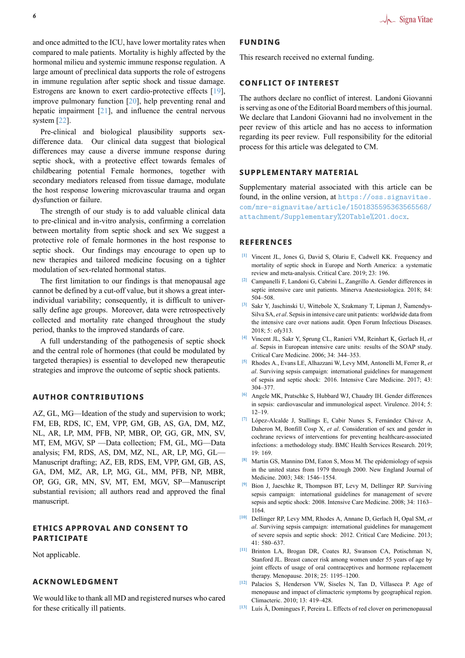and once admitted to the ICU, have lower mortality rates when compared to male patients. Mortality is highly affected by the hormonal milieu and systemic immune response regulation. A large amount of preclinical data supports the role of estrogens in immune regulation after septic shock and tissue damage. Estrogens are known to exert cardio-protective effects [19], improve pulmonary function [20], help preventing renal and hepatic impairment [21], and influence the central nervous system [22].

Pre-clinical and biological plausibility supports [sex](#page-6-1)difference data. Our clinica[l d](#page-6-2)ata suggest that biological differences may cau[se](#page-6-3) a diverse immune response during septics[hoc](#page-6-4)k, with a protective effect towards females of childbearing potential Female hormones, together with secondary mediators released from tissue damage, modulate the host response lowering microvascular trauma and organ dysfunction or failure.

The strength of our study is to add valuable clinical data to pre-clinical and in-vitro analysis, confirming a correlation between mortality from septic shock and sex We suggest a protective role of female hormones in the host response to septic shock. Our findings may encourage to open up to new therapies and tailored medicine focusing on a tighter modulation of sex-related hormonal status.

The first limitation to our findings is that menopausal age cannot be defined by a cut-off value, but it shows a great interindividual variability; consequently, it is difficult to universally define age groups. Moreover, data were retrospectively collected and mortality rate changed throughout the study period, thanks to the improved standards of care.

A full understanding of the pathogenesis of septic shock and the central role of hormones (that could be modulated by targeted therapies) is essential to developed new therapeutic strategies and improve the outcome of septic shock patients.

## **AUTHOR CONTRIBUTIONS**

AZ, GL, MG—Ideation of the study and supervision to work; FM, EB, RDS, IC, EM, VPP, GM, GB, AS, GA, DM, MZ, NL, AR, LP, MM, PFB, NP, MBR, OP, GG, GR, MN, SV, MT, EM, MGV, SP —Data collection; FM, GL, MG—Data analysis; FM, RDS, AS, DM, MZ, NL, AR, LP, MG, GL— Manuscript drafting; AZ, EB, RDS, EM, VPP, GM, GB, AS, GA, DM, MZ, AR, LP, MG, GL, MM, PFB, NP, MBR, OP, GG, GR, MN, SV, MT, EM, MGV, SP—Manuscript substantial revision; all authors read and approved the final manuscript.

## **ETHICS APPROVAL AND CONSENT TO PARTICIPATE**

Not applicable.

#### **ACKNOWLEDGMENT**

We would like to thank all MD and registered nurses who cared for these critically ill patients.

#### **FUNDING**

This research received no external funding.

## **CONFLICT OF INTEREST**

The authors declare no conflict of interest. Landoni Giovanni is serving as one of the Editorial Board members of this journal. We declare that Landoni Giovanni had no involvement in the peer review of this article and has no access to information regarding its peer review. Full responsibility for the editorial process for this article was delegated to CM.

## **SUPPLEMENTARY MATERIAL**

Supplementary material associated with this article can be found, in the online version, at https://oss.signavitae. com/mre-signavitae/article/1501835595363565568/ attachment/Supplementary%20Table%201.docx.

#### **[REFERENCES](https://oss.signavitae.com/mre-signavitae/article/1501835595363565568/attachment/Supplementary%20Table%201.docx)**

- **[1]** [Vincent JL, Jones G, David S, Olariu E, Cadwell KK. Frequ](https://oss.signavitae.com/mre-signavitae/article/1501835595363565568/attachment/Supplementary%20Table%201.docx)ency and mortality of septic shock in Europe and North America: a systematic review and meta-analysis. Critical Care. 2019; 23: 196.
- **[2]** Campanelli F, Landoni G, Cabrini L, Zangrillo A. Gender differences in septic intensive care unit patients. Minerva Anestesiologica. 2018; 84: 504–508.
- <span id="page-5-1"></span><span id="page-5-0"></span>**[3]** Sakr Y, Jaschinski U, Wittebole X, Szakmany T, Lipman J, Ñamendys-Silva SA, *et al*. Sepsis in intensive care unit patients: worldwide data from the intensive care over nations audit. Open Forum Infectious Diseases. 2018; 5: ofy313.
- <span id="page-5-2"></span>**[4]** Vincent JL, Sakr Y, Sprung CL, Ranieri VM, Reinhart K, Gerlach H, *et al*. Sepsis in European intensive care units: results of the SOAP study. Critical Care Medicine. 2006; 34: 344–353.
- <span id="page-5-3"></span>**[5]** Rhodes A., Evans LE, Alhazzani W, Levy MM, Antonelli M, Ferrer R, *et al*. Surviving sepsis campaign: international guidelines for management of sepsis and septic shock: 2016. Intensive Care Medicine. 2017; 43: 304–377.
- <span id="page-5-4"></span>**[6]** Angele MK, Pratschke S, Hubbard WJ, Chaudry IH. Gender differences in sepsis: cardiovascular and immunological aspect. Virulence. 2014; 5: 12–19.
- <span id="page-5-5"></span>**[7]** López-Alcalde J, Stallings E, Cabir Nunes S, Fernández Chávez A, Daheron M, Bonfill Cosp X, *et al*. Consideration of sex and gender in cochrane reviews of interventions for preventing healthcare-associated infections: a methodology study. BMC Health Services Research. 2019; 19: 169.
- **[8]** Martin GS, Mannino DM, Eaton S, Moss M. The epidemiology of sepsis in the united states from 1979 through 2000. New England Journal of Medicine. 2003; 348: 1546–1554.
- <span id="page-5-6"></span>**[9]** Bion J, Jaeschke R, Thompson BT, Levy M, Dellinger RP. Surviving sepsis campaign: international guidelines for management of severe sepsis and septic shock: 2008. Intensive Care Medicine. 2008; 34: 1163– 1164.
- <span id="page-5-7"></span>**[10]** Dellinger RP, Levy MM, Rhodes A, Annane D, Gerlach H, Opal SM, *et al*. Surviving sepsis campaign: international guidelines for management of severe sepsis and septic shock: 2012. Critical Care Medicine. 2013; 41: 580–637.
- <span id="page-5-8"></span>**[11]** Brinton LA, Brogan DR, Coates RJ, Swanson CA, Potischman N, Stanford JL. Breast cancer risk among women under 55 years of age by joint effects of usage of oral contraceptives and hormone replacement therapy. Menopause. 2018; 25: 1195–1200.
- <span id="page-5-9"></span>**[12]** Palacios S, Henderson VW, Siseles N, Tan D, Villaseca P. Age of menopause and impact of climacteric symptoms by geographical region. Climacteric. 2010; 13: 419–428.
- **[13]** Luís Â, Domingues F, Pereira L. Effects of red clover on perimenopausal